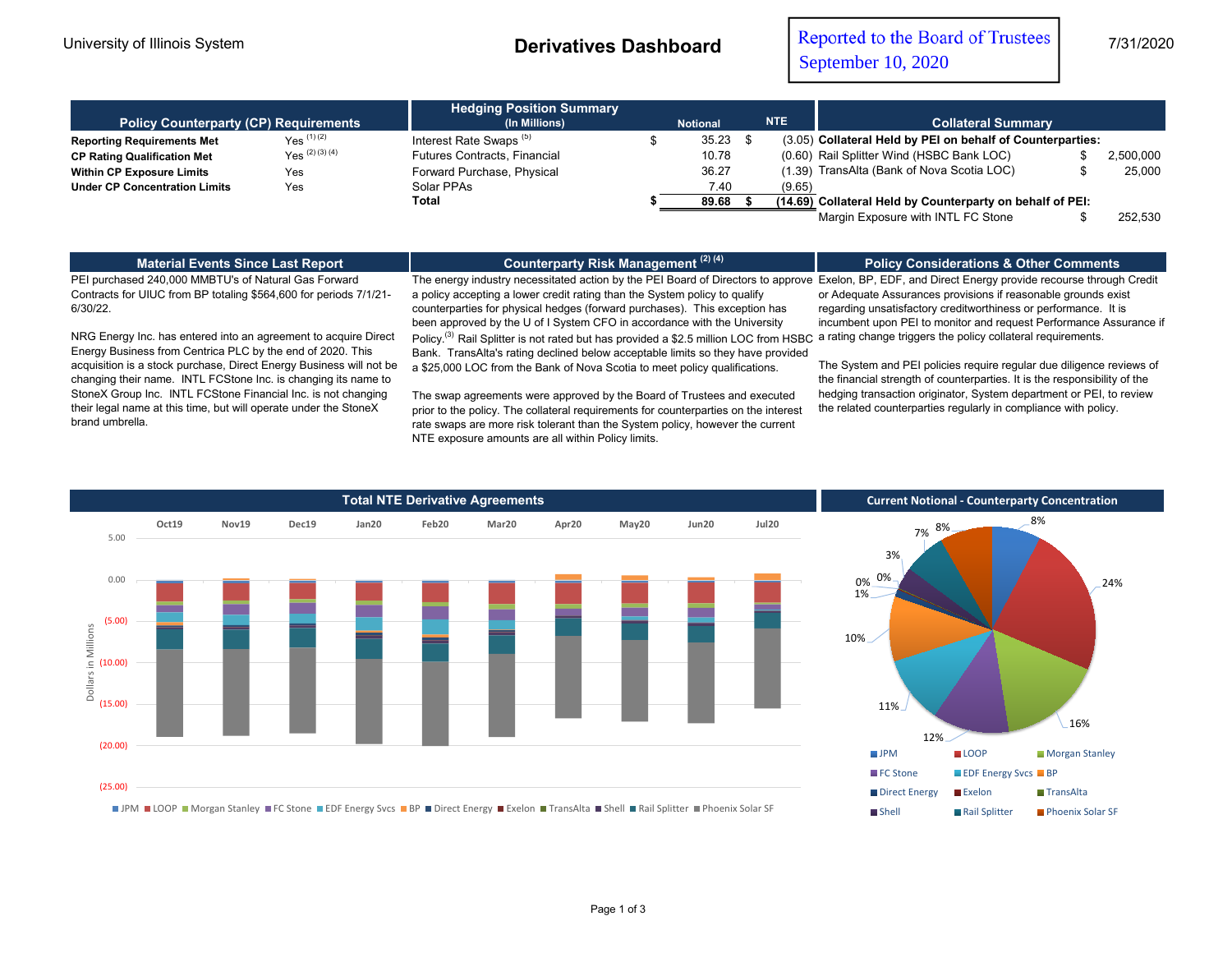| <b>Policy Counterparty (CP) Requirements</b> |                   | <b>Hedging Position Summary</b><br>(In Millions) | <b>NTE</b><br><b>Notional</b> |       |  | <b>Collateral Summary</b> |                                                            |  |           |  |
|----------------------------------------------|-------------------|--------------------------------------------------|-------------------------------|-------|--|---------------------------|------------------------------------------------------------|--|-----------|--|
| <b>Reporting Requirements Met</b>            | $Yes^{(1)(2)}$    | Interest Rate Swaps <sup>(5)</sup>               |                               | 35.23 |  |                           | (3.05) Collateral Held by PEI on behalf of Counterparties: |  |           |  |
| <b>CP Rating Qualification Met</b>           | $Yes^{(2)(3)(4)}$ | <b>Futures Contracts, Financial</b>              |                               | 10.78 |  |                           | (0.60) Rail Splitter Wind (HSBC Bank LOC)                  |  | 2,500,000 |  |
| <b>Within CP Exposure Limits</b>             | Yes               | Forward Purchase, Physical                       |                               | 36.27 |  |                           | (1.39) TransAlta (Bank of Nova Scotia LOC)                 |  | 25.000    |  |
| <b>Under CP Concentration Limits</b>         | Yes               | Solar PPAs                                       |                               | 7.40  |  | (9.65)                    |                                                            |  |           |  |
|                                              |                   | Total                                            |                               | 89.68 |  |                           | (14.69) Collateral Held by Counterparty on behalf of PEI:  |  |           |  |
|                                              |                   |                                                  |                               |       |  |                           | Margin Exposure with INTL FC Stone                         |  | 252.530   |  |

**Material Events Since Last Report**

**Counterparty Risk Management (2) (4)**

## **Policy Considerations & Other Comments**

PEI purchased 240,000 MMBTU's of Natural Gas Forward Contracts for UIUC from BP totaling \$564,600 for periods 7/1/21- 6/30/22.

NRG Energy Inc. has entered into an agreement to acquire Direct Energy Business from Centrica PLC by the end of 2020. This acquisition is a stock purchase, Direct Energy Business will not be changing their name. INTL FCStone Inc. is changing its name to StoneX Group Inc. INTL FCStone Financial Inc. is not changing their legal name at this time, but will operate under the StoneX brand umbrella.

The energy industry necessitated action by the PEI Board of Directors to approve Exelon, BP, EDF, and Direct Energy provide recourse through Credit a policy accepting a lower credit rating than the System policy to qualify counterparties for physical hedges (forward purchases). This exception has been approved by the U of I System CFO in accordance with the University

Policy.<sup>(3)</sup> Rail Splitter is not rated but has provided a \$2.5 million LOC from HSBC Bank. TransAlta's rating declined below acceptable limits so they have provided a \$25,000 LOC from the Bank of Nova Scotia to meet policy qualifications.

The swap agreements were approved by the Board of Trustees and executed prior to the policy. The collateral requirements for counterparties on the interest rate swaps are more risk tolerant than the System policy, however the current NTE exposure amounts are all within Policy limits.

or Adequate Assurances provisions if reasonable grounds exist regarding unsatisfactory creditworthiness or performance. It is incumbent upon PEI to monitor and request Performance Assurance if a rating change triggers the policy collateral requirements.

The System and PEI policies require regular due diligence reviews of the financial strength of counterparties. It is the responsibility of the hedging transaction originator, System department or PEI, to review the related counterparties regularly in compliance with policy.



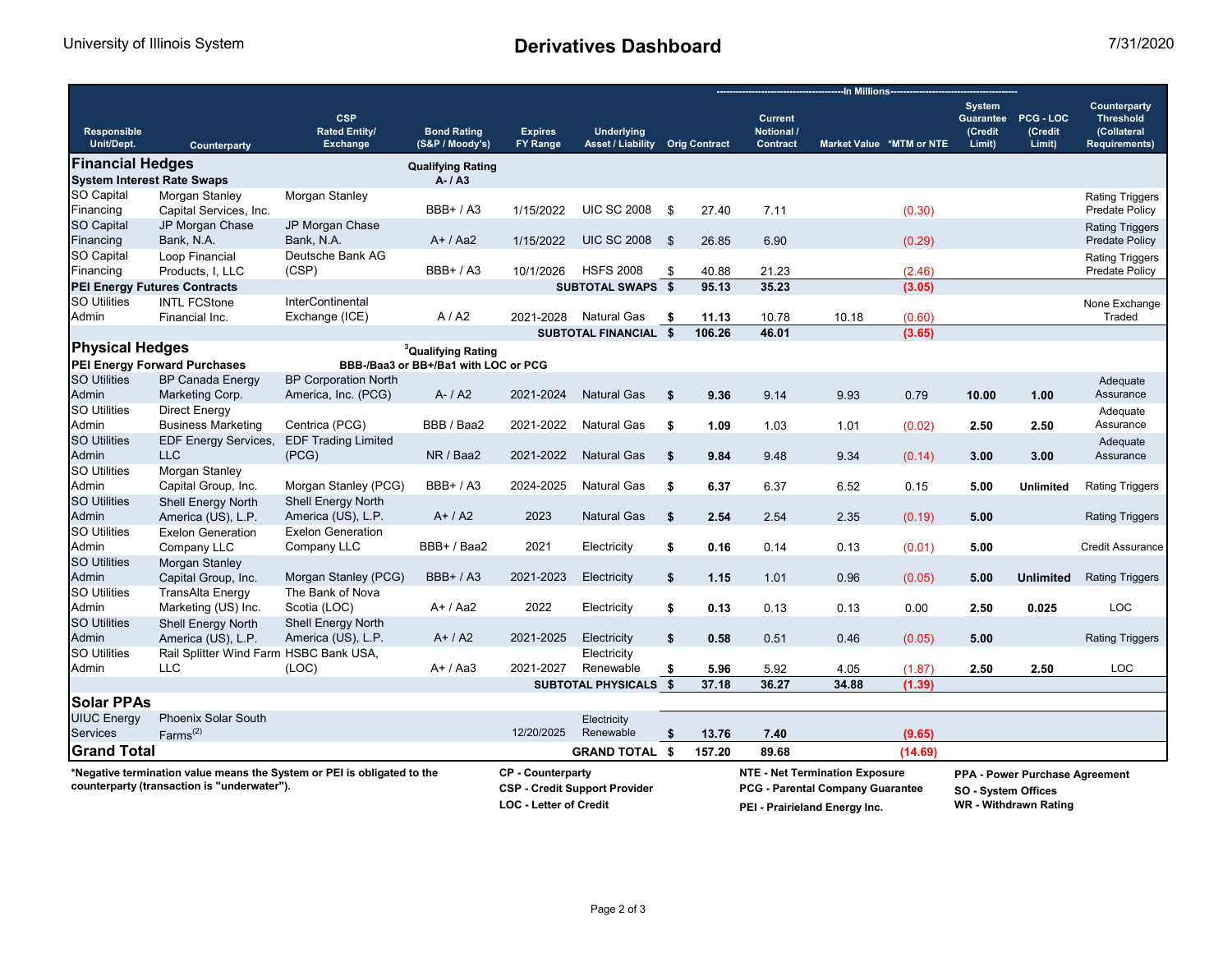## University of Illinois System **Derivatives Dashboard** 7/31/2020

|                                                                             |                                                              |                                                       |                                       |                                      |                                               |      |                                                                         | -In Millions--                                  |                                  |                          |                                    |                                          |                                                                         |  |
|-----------------------------------------------------------------------------|--------------------------------------------------------------|-------------------------------------------------------|---------------------------------------|--------------------------------------|-----------------------------------------------|------|-------------------------------------------------------------------------|-------------------------------------------------|----------------------------------|--------------------------|------------------------------------|------------------------------------------|-------------------------------------------------------------------------|--|
| Responsible<br>Unit/Dept.                                                   | Counterparty                                                 | <b>CSP</b><br><b>Rated Entity/</b><br><b>Exchange</b> | <b>Bond Rating</b><br>(S&P / Moody's) | <b>Expires</b><br><b>FY Range</b>    | <b>Underlying</b><br><b>Asset / Liability</b> |      | <b>Orig Contract</b>                                                    | <b>Current</b><br>Notional /<br><b>Contract</b> |                                  | Market Value *MTM or NTE | <b>System</b><br>(Credit<br>Limit) | Guarantee PCG - LOC<br>(Credit<br>Limit) | Counterparty<br><b>Threshold</b><br>(Collateral<br><b>Requirements)</b> |  |
| <b>Financial Hedges</b>                                                     |                                                              |                                                       |                                       |                                      |                                               |      |                                                                         |                                                 |                                  |                          |                                    |                                          |                                                                         |  |
| <b>Qualifying Rating</b><br><b>System Interest Rate Swaps</b><br>$A - I A3$ |                                                              |                                                       |                                       |                                      |                                               |      |                                                                         |                                                 |                                  |                          |                                    |                                          |                                                                         |  |
| <b>SO Capital</b>                                                           | Morgan Stanley                                               | Morgan Stanley                                        |                                       |                                      |                                               |      |                                                                         |                                                 |                                  |                          |                                    |                                          | <b>Rating Triggers</b>                                                  |  |
| Financing                                                                   | Capital Services, Inc.                                       |                                                       | BBB+ / A3                             | 1/15/2022                            | <b>UIC SC 2008</b>                            | \$   | 27.40                                                                   | 7.11                                            |                                  | (0.30)                   |                                    |                                          | <b>Predate Policy</b>                                                   |  |
| <b>SO Capital</b>                                                           | JP Morgan Chase                                              | JP Morgan Chase                                       |                                       |                                      |                                               |      |                                                                         |                                                 |                                  |                          |                                    |                                          | <b>Rating Triggers</b>                                                  |  |
| Financing                                                                   | Bank, N.A.                                                   | Bank, N.A.                                            | $A+ / Aa2$                            | 1/15/2022                            | <b>UIC SC 2008</b>                            | \$   | 26.85                                                                   | 6.90                                            |                                  | (0.29)                   |                                    |                                          | <b>Predate Policy</b>                                                   |  |
| SO Capital                                                                  | Loop Financial                                               | Deutsche Bank AG                                      |                                       |                                      |                                               |      |                                                                         |                                                 |                                  |                          |                                    |                                          | <b>Rating Triggers</b>                                                  |  |
| Financing                                                                   | Products, I, LLC                                             | (CSP)                                                 | <b>BBB+/A3</b>                        | 10/1/2026                            | <b>HSFS 2008</b>                              | \$   | 40.88                                                                   | 21.23                                           |                                  | (2.46)                   |                                    |                                          | Predate Policy                                                          |  |
|                                                                             | <b>PEI Energy Futures Contracts</b>                          |                                                       |                                       |                                      | <b>SUBTOTAL SWAPS \$</b>                      |      | 95.13                                                                   | 35.23                                           |                                  | (3.05)                   |                                    |                                          |                                                                         |  |
| <b>SO Utilities</b>                                                         | <b>INTL FCStone</b>                                          | <b>InterContinental</b>                               |                                       |                                      |                                               |      |                                                                         |                                                 |                                  |                          |                                    |                                          | None Exchange                                                           |  |
| Admin                                                                       | Financial Inc.                                               | Exchange (ICE)                                        | A/42                                  | 2021-2028                            | <b>Natural Gas</b>                            | - \$ | 11.13                                                                   | 10.78                                           | 10.18                            | (0.60)                   |                                    |                                          | Traded                                                                  |  |
|                                                                             |                                                              |                                                       |                                       |                                      | SUBTOTAL FINANCIAL \$                         |      | 106.26                                                                  | 46.01                                           |                                  | (3.65)                   |                                    |                                          |                                                                         |  |
| <b>Physical Hedges</b>                                                      |                                                              |                                                       | <sup>3</sup> Qualifying Rating        |                                      |                                               |      |                                                                         |                                                 |                                  |                          |                                    |                                          |                                                                         |  |
|                                                                             | PEI Energy Forward Purchases                                 |                                                       | BBB-/Baa3 or BB+/Ba1 with LOC or PCG  |                                      |                                               |      |                                                                         |                                                 |                                  |                          |                                    |                                          |                                                                         |  |
| <b>SO Utilities</b>                                                         | <b>BP Canada Energy</b>                                      | <b>BP Corporation North</b>                           |                                       |                                      |                                               |      |                                                                         |                                                 |                                  |                          |                                    |                                          | Adequate                                                                |  |
| Admin                                                                       | Marketing Corp.                                              | America, Inc. (PCG)                                   | $A - / A2$                            | 2021-2024                            | <b>Natural Gas</b>                            | \$   | 9.36                                                                    | 9.14                                            | 9.93                             | 0.79                     | 10.00                              | 1.00                                     | Assurance                                                               |  |
| <b>SO Utilities</b>                                                         | <b>Direct Energy</b>                                         |                                                       |                                       |                                      |                                               |      |                                                                         |                                                 |                                  |                          |                                    |                                          | Adequate                                                                |  |
| Admin                                                                       | <b>Business Marketing</b>                                    | Centrica (PCG)                                        | BBB / Baa2                            | 2021-2022                            | <b>Natural Gas</b>                            | \$   | 1.09                                                                    | 1.03                                            | 1.01                             | (0.02)                   | 2.50                               | 2.50                                     | Assurance                                                               |  |
| <b>SO Utilities</b>                                                         | <b>EDF Energy Services,</b>                                  | <b>EDF Trading Limited</b>                            |                                       |                                      |                                               |      |                                                                         |                                                 |                                  |                          |                                    |                                          | Adequate                                                                |  |
| Admin                                                                       | <b>LLC</b>                                                   | (PCG)                                                 | NR / Baa2                             | 2021-2022                            | <b>Natural Gas</b>                            | \$   | 9.84                                                                    | 9.48                                            | 9.34                             | (0.14)                   | 3.00                               | 3.00                                     | Assurance                                                               |  |
| <b>SO Utilities</b>                                                         | Morgan Stanley                                               |                                                       |                                       |                                      |                                               |      |                                                                         |                                                 |                                  |                          |                                    |                                          |                                                                         |  |
| Admin                                                                       | Capital Group, Inc.                                          | Morgan Stanley (PCG)                                  | $BBB+ / A3$                           | 2024-2025                            | <b>Natural Gas</b>                            | \$   | 6.37                                                                    | 6.37                                            | 6.52                             | 0.15                     | 5.00                               | <b>Unlimited</b>                         | <b>Rating Triggers</b>                                                  |  |
| <b>SO Utilities</b>                                                         | Shell Energy North                                           | <b>Shell Energy North</b>                             |                                       |                                      |                                               |      |                                                                         |                                                 |                                  |                          |                                    |                                          |                                                                         |  |
| Admin                                                                       | America (US), L.P.                                           | America (US), L.P.                                    | $A+/A2$                               | 2023                                 | <b>Natural Gas</b>                            | \$   | 2.54                                                                    | 2.54                                            | 2.35                             | (0.19)                   | 5.00                               |                                          | <b>Rating Triggers</b>                                                  |  |
| <b>SO Utilities</b>                                                         | <b>Exelon Generation</b>                                     | <b>Exelon Generation</b>                              |                                       |                                      |                                               |      |                                                                         |                                                 |                                  |                          |                                    |                                          |                                                                         |  |
| Admin                                                                       | Company LLC                                                  | Company LLC                                           | BBB+ / Baa2                           | 2021                                 | Electricity                                   | \$   | 0.16                                                                    | 0.14                                            | 0.13                             | (0.01)                   | 5.00                               |                                          | <b>Credit Assurance</b>                                                 |  |
| <b>SO Utilities</b>                                                         | Morgan Stanley                                               |                                                       |                                       |                                      |                                               |      |                                                                         |                                                 |                                  |                          |                                    |                                          |                                                                         |  |
| Admin                                                                       | Capital Group, Inc.                                          | Morgan Stanley (PCG)                                  | <b>BBB+/A3</b>                        | 2021-2023                            | Electricity                                   | \$   | 1.15                                                                    | 1.01                                            | 0.96                             | (0.05)                   | 5.00                               | <b>Unlimited</b>                         | <b>Rating Triggers</b>                                                  |  |
| <b>SO Utilities</b>                                                         | <b>TransAlta Energy</b>                                      | The Bank of Nova                                      |                                       |                                      |                                               |      |                                                                         |                                                 |                                  |                          |                                    |                                          |                                                                         |  |
| Admin                                                                       | Marketing (US) Inc.                                          | Scotia (LOC)                                          | $A+ / Aa2$                            | 2022                                 | Electricity                                   | \$   | 0.13                                                                    | 0.13                                            | 0.13                             | 0.00                     | 2.50                               | 0.025                                    | LOC                                                                     |  |
| <b>SO Utilities</b>                                                         | Shell Energy North                                           | Shell Energy North                                    |                                       |                                      |                                               |      |                                                                         |                                                 |                                  |                          |                                    |                                          |                                                                         |  |
| Admin<br><b>SO Utilities</b>                                                | America (US), L.P.<br>Rail Splitter Wind Farm HSBC Bank USA, | America (US), L.P.                                    | $A+ / A2$                             | 2021-2025                            | Electricity                                   | \$   | 0.58                                                                    | 0.51                                            | 0.46                             | (0.05)                   | 5.00                               |                                          | <b>Rating Triggers</b>                                                  |  |
| Admin                                                                       | <b>LLC</b>                                                   | (LOC)                                                 | $A+ / Aa3$                            | 2021-2027                            | Electricity<br>Renewable                      | \$   | 5.96                                                                    | 5.92                                            |                                  |                          | 2.50                               | 2.50                                     | <b>LOC</b>                                                              |  |
|                                                                             |                                                              |                                                       |                                       |                                      | SUBTOTAL PHYSICALS \$                         |      | 37.18                                                                   | 36.27                                           | 4.05<br>34.88                    | (1.87)<br>(1.39)         |                                    |                                          |                                                                         |  |
|                                                                             |                                                              |                                                       |                                       |                                      |                                               |      |                                                                         |                                                 |                                  |                          |                                    |                                          |                                                                         |  |
| <b>Solar PPAs</b>                                                           |                                                              |                                                       |                                       |                                      |                                               |      |                                                                         |                                                 |                                  |                          |                                    |                                          |                                                                         |  |
| <b>UIUC Energy</b><br><b>Services</b>                                       | <b>Phoenix Solar South</b>                                   |                                                       |                                       | 12/20/2025                           | Electricity<br>Renewable                      |      |                                                                         |                                                 |                                  |                          |                                    |                                          |                                                                         |  |
|                                                                             | $Farms^{(2)}$                                                |                                                       |                                       |                                      |                                               | \$   | 13.76                                                                   | 7.40                                            |                                  | (9.65)                   |                                    |                                          |                                                                         |  |
| <b>Grand Total</b>                                                          |                                                              |                                                       |                                       |                                      | <b>GRAND TOTAL \$</b>                         |      | 157.20                                                                  | 89.68                                           |                                  | (14.69)                  |                                    |                                          |                                                                         |  |
| *Negative termination value means the System or PEI is obligated to the     |                                                              |                                                       | <b>CP</b> - Counterparty              |                                      |                                               |      | <b>NTE - Net Termination Exposure</b><br>PPA - Power Purchase Agreement |                                                 |                                  |                          |                                    |                                          |                                                                         |  |
|                                                                             | counterparty (transaction is "underwater").                  |                                                       |                                       | <b>CSP - Credit Support Provider</b> |                                               |      |                                                                         |                                                 | PCG - Parental Company Guarantee |                          | <b>SO - System Offices</b>         |                                          |                                                                         |  |
|                                                                             |                                                              |                                                       |                                       | <b>LOC - Letter of Credit</b>        |                                               |      | PEI - Prairieland Energy Inc.                                           |                                                 |                                  |                          |                                    | WR - Withdrawn Rating                    |                                                                         |  |